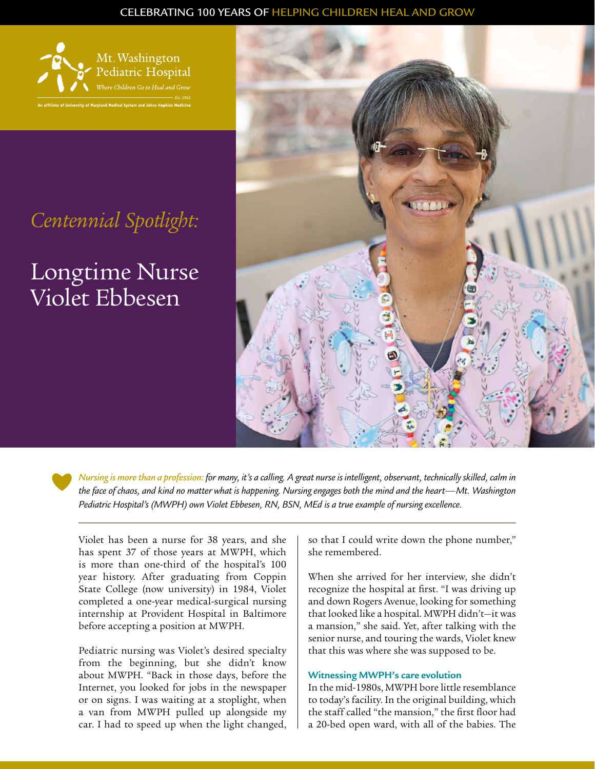### CELEBRATING 100 YEARS OF HELPING CHILDREN HEAL AND GROW



## *Centennial Spotlight:*

# Longtime Nurse Violet Ebbesen



*Nursing is more than a profession: for many, it's a calling. A great nurse is intelligent, observant, technically skilled, calm in the face of chaos, and kind no matter what is happening. Nursing engages both the mind and the heart—Mt. Washington Pediatric Hospital's (MWPH) own Violet Ebbesen, RN, BSN, MEd is a true example of nursing excellence.*

Violet has been a nurse for 38 years, and she has spent 37 of those years at MWPH, which is more than one-third of the hospital's 100 year history. After graduating from Coppin State College (now university) in 1984, Violet completed a one-year medical-surgical nursing internship at Provident Hospital in Baltimore before accepting a position at MWPH.

Pediatric nursing was Violet's desired specialty from the beginning, but she didn't know about MWPH. "Back in those days, before the Internet, you looked for jobs in the newspaper or on signs. I was waiting at a stoplight, when a van from MWPH pulled up alongside my car. I had to speed up when the light changed,

so that I could write down the phone number," she remembered.

When she arrived for her interview, she didn't recognize the hospital at first. "I was driving up and down Rogers Avenue, looking for something that looked like a hospital. MWPH didn't—it was a mansion," she said. Yet, after talking with the senior nurse, and touring the wards, Violet knew that this was where she was supposed to be.

#### **Witnessing MWPH's care evolution**

In the mid-1980s, MWPH bore little resemblance to today's facility. In the original building, which the staff called "the mansion," the first floor had a 20-bed open ward, with all of the babies. The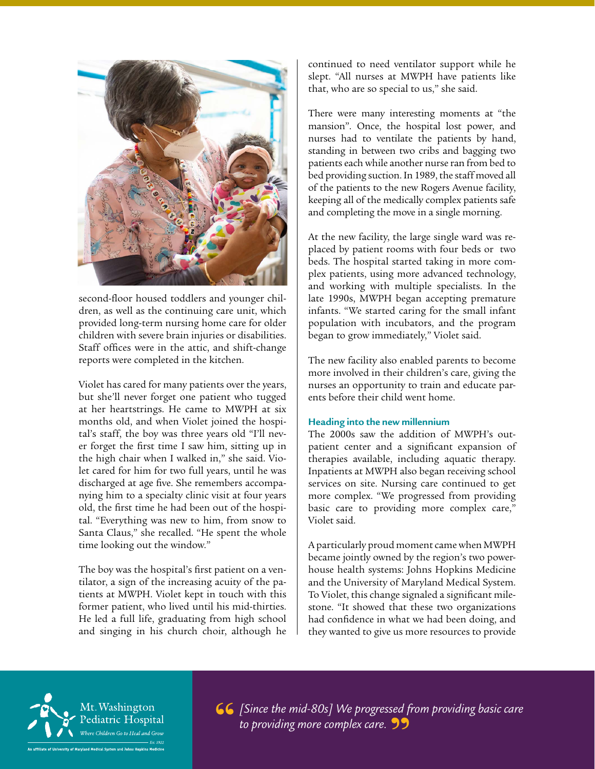

second-floor housed toddlers and younger children, as well as the continuing care unit, which provided long-term nursing home care for older children with severe brain injuries or disabilities. Staff offices were in the attic, and shift-change reports were completed in the kitchen.

Violet has cared for many patients over the years, but she'll never forget one patient who tugged at her heartstrings. He came to MWPH at six months old, and when Violet joined the hospital's staff, the boy was three years old "I'll never forget the first time I saw him, sitting up in the high chair when I walked in," she said. Violet cared for him for two full years, until he was discharged at age five. She remembers accompanying him to a specialty clinic visit at four years old, the first time he had been out of the hospital. "Everything was new to him, from snow to Santa Claus," she recalled. "He spent the whole time looking out the window."

The boy was the hospital's first patient on a ventilator, a sign of the increasing acuity of the patients at MWPH. Violet kept in touch with this former patient, who lived until his mid-thirties. He led a full life, graduating from high school and singing in his church choir, although he

continued to need ventilator support while he slept. "All nurses at MWPH have patients like that, who are so special to us," she said.

There were many interesting moments at "the mansion". Once, the hospital lost power, and nurses had to ventilate the patients by hand, standing in between two cribs and bagging two patients each while another nurse ran from bed to bed providing suction. In 1989, the staff moved all of the patients to the new Rogers Avenue facility, keeping all of the medically complex patients safe and completing the move in a single morning.

At the new facility, the large single ward was replaced by patient rooms with four beds or two beds. The hospital started taking in more complex patients, using more advanced technology, and working with multiple specialists. In the late 1990s, MWPH began accepting premature infants. "We started caring for the small infant population with incubators, and the program began to grow immediately," Violet said.

The new facility also enabled parents to become more involved in their children's care, giving the nurses an opportunity to train and educate parents before their child went home.

#### **Heading into the new millennium**

The 2000s saw the addition of MWPH's outpatient center and a significant expansion of therapies available, including aquatic therapy. Inpatients at MWPH also began receiving school services on site. Nursing care continued to get more complex. "We progressed from providing basic care to providing more complex care," Violet said.

A particularly proud moment came when MWPH became jointly owned by the region's two powerhouse health systems: Johns Hopkins Medicine and the University of Maryland Medical System. To Violet, this change signaled a significant milestone. "It showed that these two organizations had confidence in what we had been doing, and they wanted to give us more resources to provide



*[Since the mid-80s] We progressed from providing basic care to providing more complex care.*